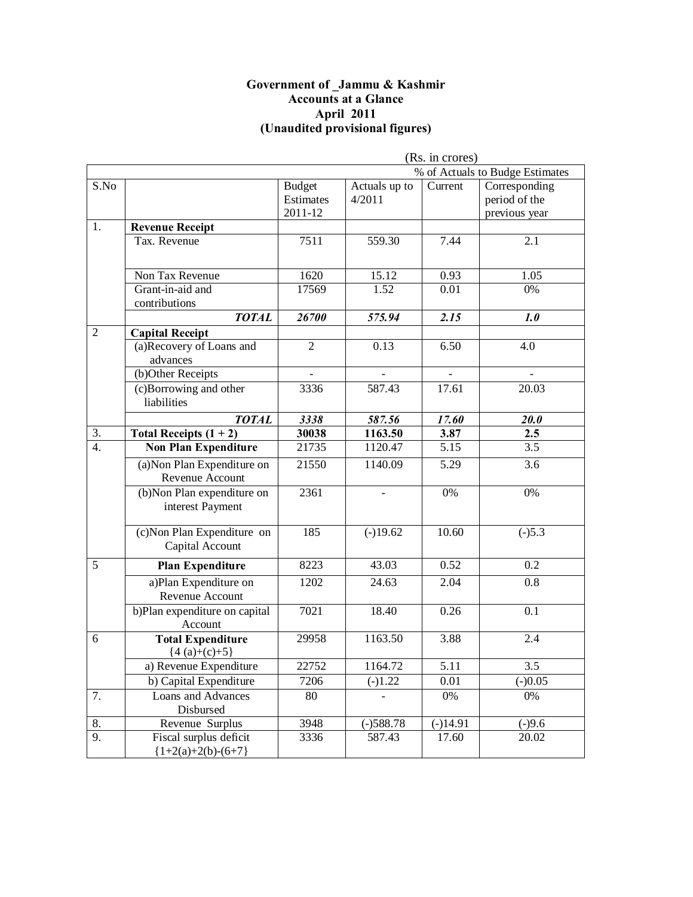#### **Government of \_Jammu & Kashmir Accounts at a Glance April 2011 (Unaudited provisional figures)**

|                  |                                                 | (Rs. in crores)                       |                         |                |                                                 |
|------------------|-------------------------------------------------|---------------------------------------|-------------------------|----------------|-------------------------------------------------|
|                  |                                                 |                                       |                         |                | % of Actuals to Budge Estimates                 |
| S.No             |                                                 | <b>Budget</b><br>Estimates<br>2011-12 | Actuals up to<br>4/2011 | Current        | Corresponding<br>period of the<br>previous year |
| 1.               | <b>Revenue Receipt</b>                          |                                       |                         |                |                                                 |
|                  | Tax. Revenue                                    | 7511                                  | 559.30                  | 7.44           | 2.1                                             |
|                  | Non Tax Revenue                                 | 1620                                  | 15.12                   | 0.93           | 1.05                                            |
|                  | Grant-in-aid and<br>contributions               | 17569                                 | 1.52                    | 0.01           | 0%                                              |
|                  | <b>TOTAL</b>                                    | 26700                                 | 575.94                  | 2.15           | 1.0                                             |
| $\overline{2}$   | <b>Capital Receipt</b>                          |                                       |                         |                |                                                 |
|                  | (a)Recovery of Loans and<br>advances            | $\overline{2}$                        | 0.13                    | 6.50           | 4.0                                             |
|                  | (b)Other Receipts                               | $\overline{a}$                        |                         | $\overline{a}$ | $\blacksquare$                                  |
|                  | (c)Borrowing and other<br>liabilities           | 3336                                  | 587.43                  | 17.61          | 20.03                                           |
|                  | <b>TOTAL</b>                                    | 3338                                  | 587.56                  | 17.60          | <b>20.0</b>                                     |
| $\overline{3}$ . | Total Receipts $(1 + 2)$                        | 30038                                 | 1163.50                 | 3.87           | 2.5                                             |
| 4.               | <b>Non Plan Expenditure</b>                     | 21735                                 | 1120.47                 | 5.15           | 3.5                                             |
|                  | (a) Non Plan Expenditure on<br>Revenue Account  | 21550                                 | 1140.09                 | 5.29           | 3.6                                             |
|                  | (b)Non Plan expenditure on<br>interest Payment  | 2361                                  |                         | $0\%$          | $0\%$                                           |
|                  | (c) Non Plan Expenditure on<br>Capital Account  | 185                                   | $(-)19.62$              | 10.60          | $(-)5.3$                                        |
| 5                | <b>Plan Expenditure</b>                         | 8223                                  | 43.03                   | 0.52           | 0.2                                             |
|                  | a)Plan Expenditure on<br>Revenue Account        | 1202                                  | 24.63                   | 2.04           | $\overline{0.8}$                                |
|                  | b)Plan expenditure on capital<br>Account        | 7021                                  | 18.40                   | 0.26           | 0.1                                             |
| 6                | <b>Total Expenditure</b><br>${4(a)+(c)+5}$      | 29958                                 | 1163.50                 | 3.88           | 2.4                                             |
|                  | a) Revenue Expenditure                          | 22752                                 | 1164.72                 | 5.11           | 3.5                                             |
|                  | b) Capital Expenditure                          | 7206                                  | $(-)1.22$               | 0.01           | $(-)0.05$                                       |
| 7.               | Loans and Advances<br>Disbursed                 | 80                                    |                         | $0\%$          | $0\%$                                           |
| 8.               | Revenue Surplus                                 | 3948                                  | $(-)588.78$             | $(-)14.91$     | $(-)9.6$                                        |
| 9.               | Fiscal surplus deficit<br>${1+2(a)+2(b)-(6+7)}$ | 3336                                  | 587.43                  | 17.60          | 20.02                                           |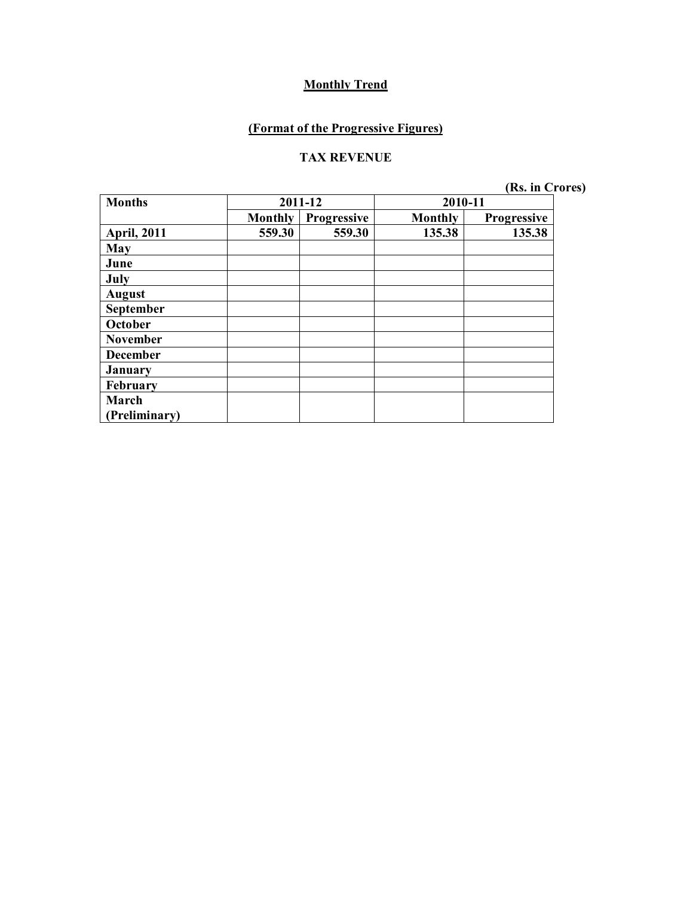### **(Format of the Progressive Figures)**

#### **TAX REVENUE**

| <b>Months</b>      | 2011-12<br>2010-11 |             |                |                    |
|--------------------|--------------------|-------------|----------------|--------------------|
|                    | <b>Monthly</b>     | Progressive | <b>Monthly</b> | <b>Progressive</b> |
| <b>April, 2011</b> | 559.30             | 559.30      | 135.38         | 135.38             |
| May                |                    |             |                |                    |
| June               |                    |             |                |                    |
| July               |                    |             |                |                    |
| <b>August</b>      |                    |             |                |                    |
| September          |                    |             |                |                    |
| October            |                    |             |                |                    |
| <b>November</b>    |                    |             |                |                    |
| <b>December</b>    |                    |             |                |                    |
| <b>January</b>     |                    |             |                |                    |
| February           |                    |             |                |                    |
| March              |                    |             |                |                    |
| (Preliminary)      |                    |             |                |                    |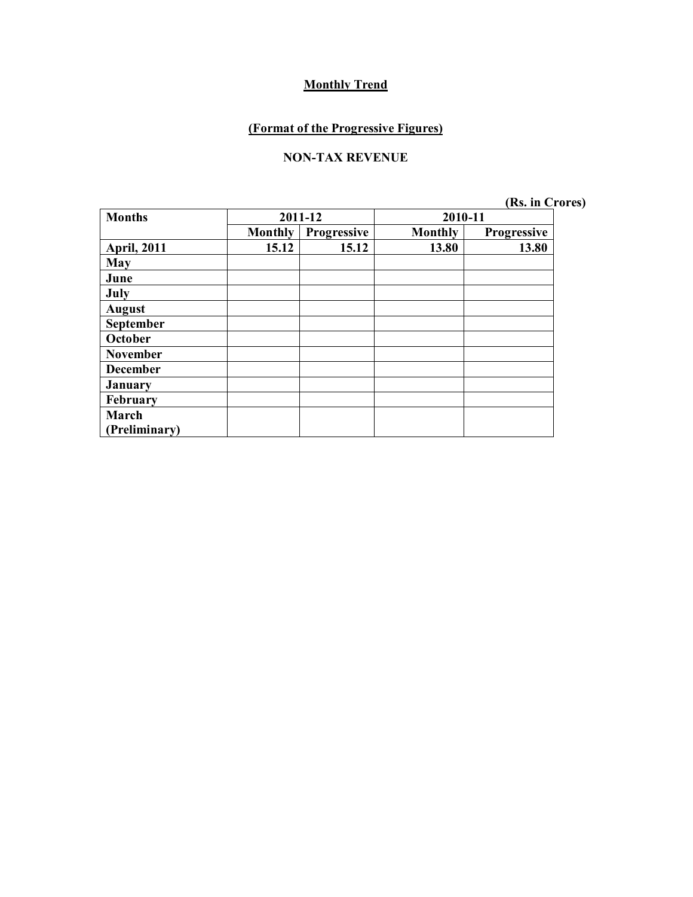### **(Format of the Progressive Figures)**

#### **NON-TAX REVENUE**

| <b>Months</b>      | 2011-12        |             | 2010-11        |                    |
|--------------------|----------------|-------------|----------------|--------------------|
|                    | <b>Monthly</b> | Progressive | <b>Monthly</b> | <b>Progressive</b> |
| <b>April, 2011</b> | 15.12          | 15.12       | 13.80          | 13.80              |
| <b>May</b>         |                |             |                |                    |
| June               |                |             |                |                    |
| July               |                |             |                |                    |
| <b>August</b>      |                |             |                |                    |
| September          |                |             |                |                    |
| October            |                |             |                |                    |
| <b>November</b>    |                |             |                |                    |
| <b>December</b>    |                |             |                |                    |
| <b>January</b>     |                |             |                |                    |
| February           |                |             |                |                    |
| March              |                |             |                |                    |
| (Preliminary)      |                |             |                |                    |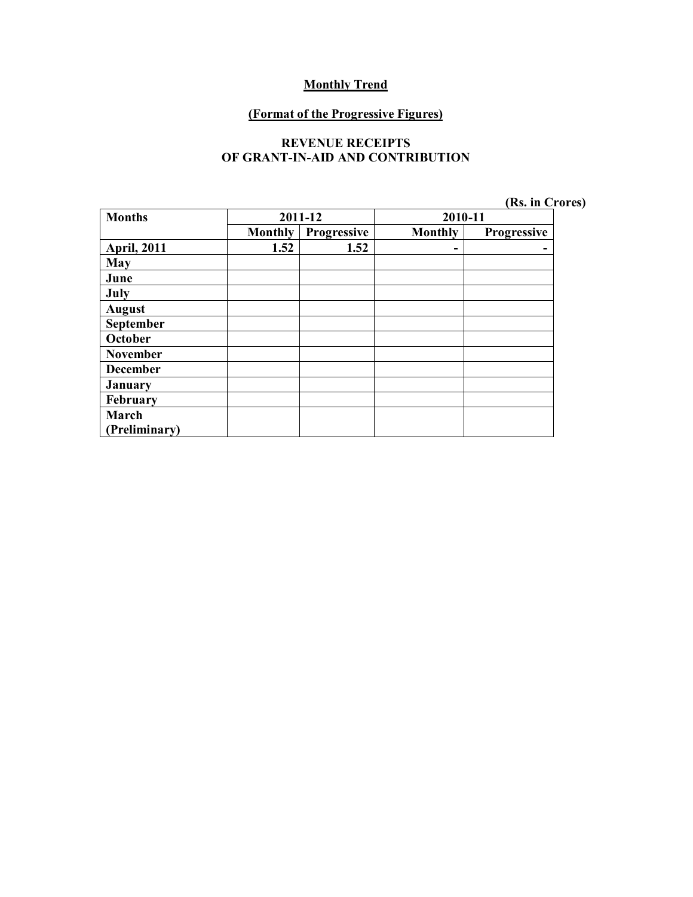#### **(Format of the Progressive Figures)**

#### **REVENUE RECEIPTS OF GRANT-IN-AID AND CONTRIBUTION**

| <b>Months</b>      | 2011-12        |             | 2010-11        |             |
|--------------------|----------------|-------------|----------------|-------------|
|                    | <b>Monthly</b> | Progressive | <b>Monthly</b> | Progressive |
| <b>April, 2011</b> | 1.52           | 1.52        | ۰              |             |
| <b>May</b>         |                |             |                |             |
| June               |                |             |                |             |
| July               |                |             |                |             |
| <b>August</b>      |                |             |                |             |
| September          |                |             |                |             |
| October            |                |             |                |             |
| <b>November</b>    |                |             |                |             |
| <b>December</b>    |                |             |                |             |
| <b>January</b>     |                |             |                |             |
| February           |                |             |                |             |
| March              |                |             |                |             |
| (Preliminary)      |                |             |                |             |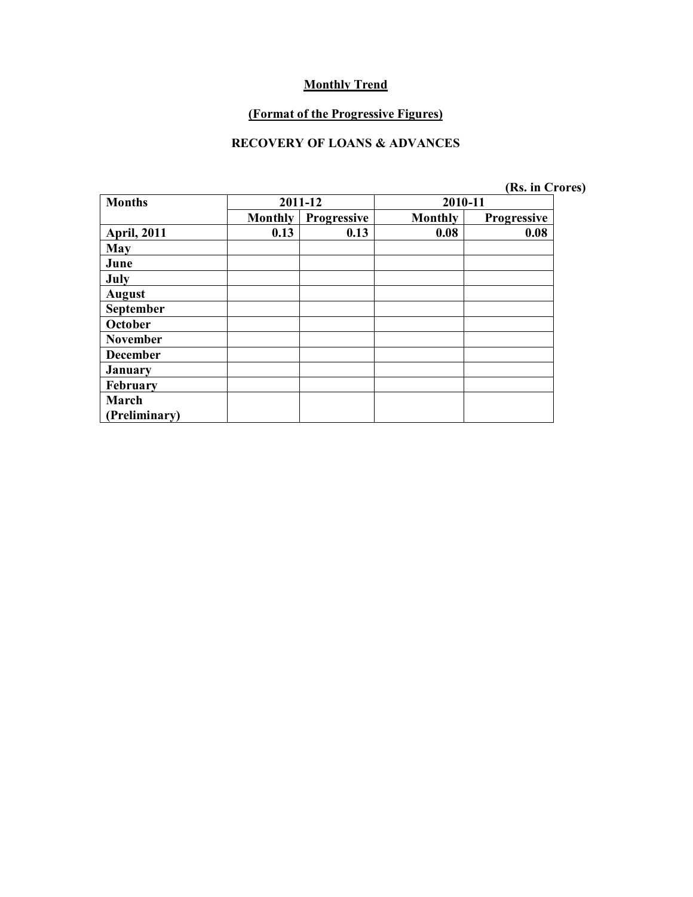#### **(Format of the Progressive Figures)**

#### **RECOVERY OF LOANS & ADVANCES**

| <b>Months</b>      | 2011-12        |             | 2010-11 |                    |
|--------------------|----------------|-------------|---------|--------------------|
|                    | <b>Monthly</b> | Progressive | Monthly | <b>Progressive</b> |
| <b>April, 2011</b> | 0.13           | 0.13        | 0.08    | 0.08               |
| May                |                |             |         |                    |
| June               |                |             |         |                    |
| July               |                |             |         |                    |
| <b>August</b>      |                |             |         |                    |
| September          |                |             |         |                    |
| October            |                |             |         |                    |
| <b>November</b>    |                |             |         |                    |
| <b>December</b>    |                |             |         |                    |
| <b>January</b>     |                |             |         |                    |
| February           |                |             |         |                    |
| March              |                |             |         |                    |
| (Preliminary)      |                |             |         |                    |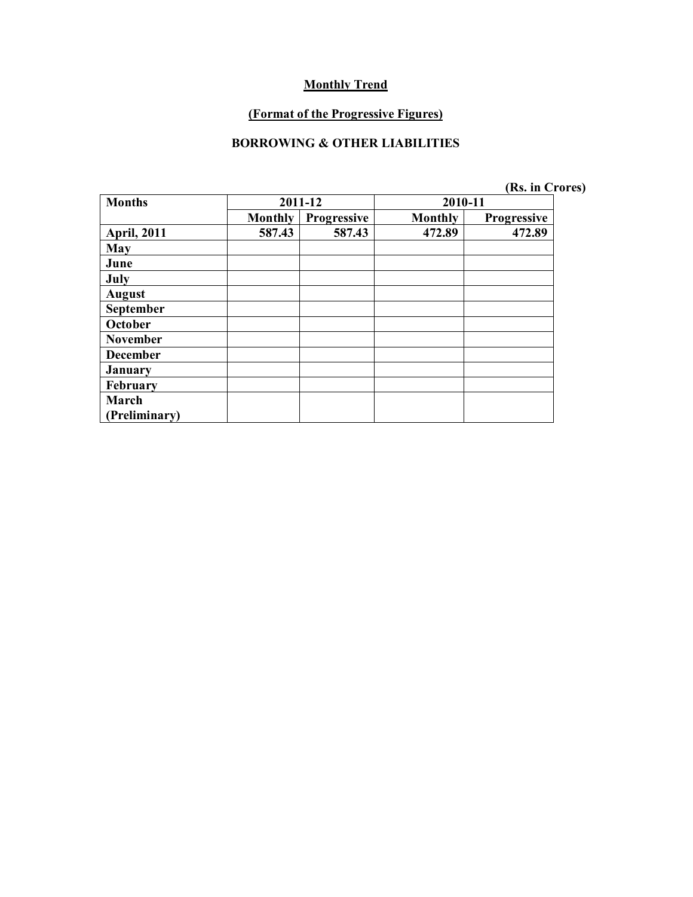#### **(Format of the Progressive Figures)**

#### **BORROWING & OTHER LIABILITIES**

|  | (Rs. in Crores) |
|--|-----------------|
|--|-----------------|

| <b>Months</b><br>2011-12 |                |             | 2010-11        |                    |
|--------------------------|----------------|-------------|----------------|--------------------|
|                          | <b>Monthly</b> | Progressive | <b>Monthly</b> | <b>Progressive</b> |
| <b>April, 2011</b>       | 587.43         | 587.43      | 472.89         | 472.89             |
| May                      |                |             |                |                    |
| June                     |                |             |                |                    |
| July                     |                |             |                |                    |
| <b>August</b>            |                |             |                |                    |
| September                |                |             |                |                    |
| October                  |                |             |                |                    |
| <b>November</b>          |                |             |                |                    |
| <b>December</b>          |                |             |                |                    |
| <b>January</b>           |                |             |                |                    |
| February                 |                |             |                |                    |
| March                    |                |             |                |                    |
| <b>Preliminary</b> )     |                |             |                |                    |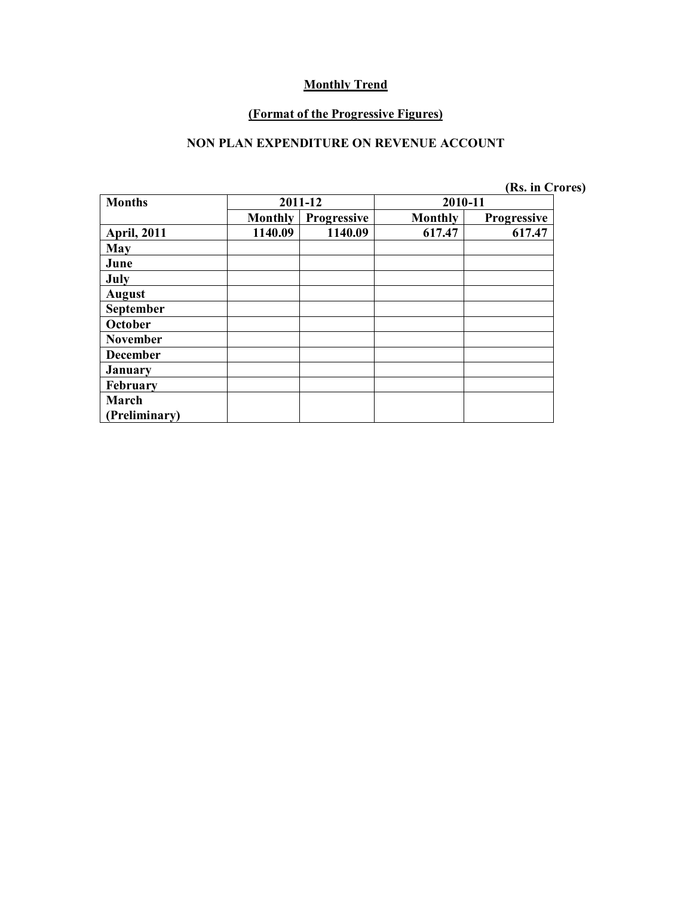#### **(Format of the Progressive Figures)**

#### **NON PLAN EXPENDITURE ON REVENUE ACCOUNT**

| <b>Months</b>      | 2011-12        |                    | 2010-11        |                    |
|--------------------|----------------|--------------------|----------------|--------------------|
|                    | <b>Monthly</b> | <b>Progressive</b> | <b>Monthly</b> | <b>Progressive</b> |
| <b>April, 2011</b> | 1140.09        | 1140.09            | 617.47         | 617.47             |
| May                |                |                    |                |                    |
| June               |                |                    |                |                    |
| July               |                |                    |                |                    |
| <b>August</b>      |                |                    |                |                    |
| September          |                |                    |                |                    |
| October            |                |                    |                |                    |
| <b>November</b>    |                |                    |                |                    |
| <b>December</b>    |                |                    |                |                    |
| <b>January</b>     |                |                    |                |                    |
| <b>February</b>    |                |                    |                |                    |
| March              |                |                    |                |                    |
| Preliminary)       |                |                    |                |                    |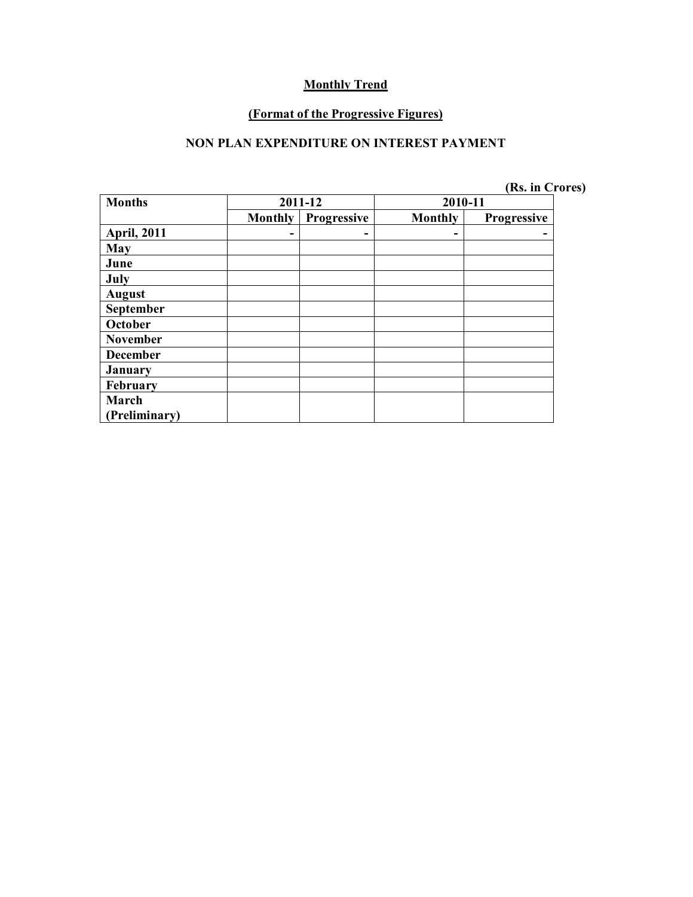#### **(Format of the Progressive Figures)**

#### **NON PLAN EXPENDITURE ON INTEREST PAYMENT**

| <b>Months</b>      | 2011-12        |             | 2010-11        |                    |
|--------------------|----------------|-------------|----------------|--------------------|
|                    | <b>Monthly</b> | Progressive | <b>Monthly</b> | <b>Progressive</b> |
| <b>April, 2011</b> |                |             | -              |                    |
| May                |                |             |                |                    |
| June               |                |             |                |                    |
| July               |                |             |                |                    |
| <b>August</b>      |                |             |                |                    |
| September          |                |             |                |                    |
| October            |                |             |                |                    |
| <b>November</b>    |                |             |                |                    |
| <b>December</b>    |                |             |                |                    |
| <b>January</b>     |                |             |                |                    |
| February           |                |             |                |                    |
| March              |                |             |                |                    |
| Preliminary)       |                |             |                |                    |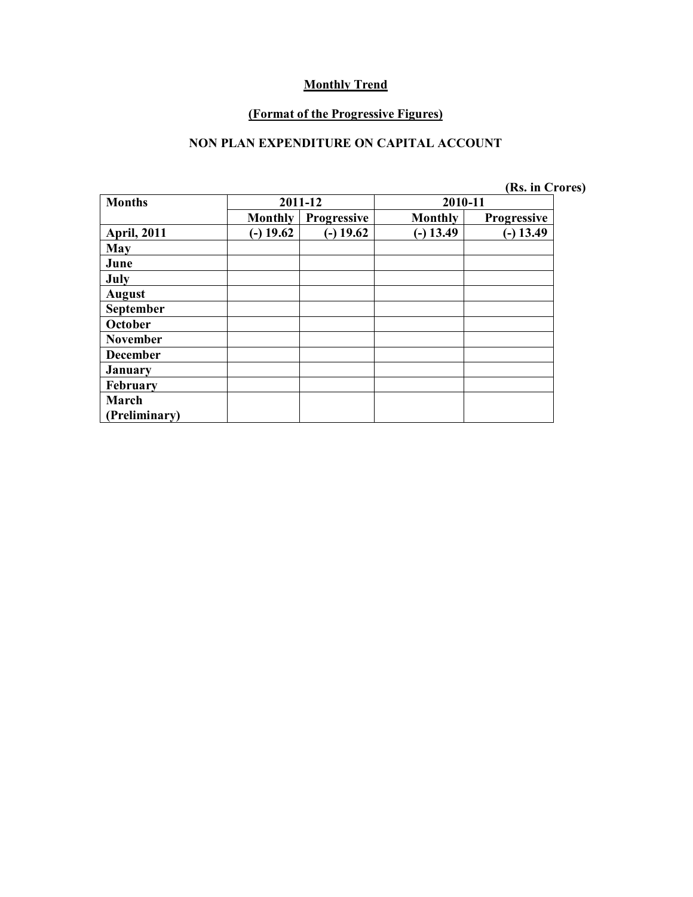#### **(Format of the Progressive Figures)**

### **NON PLAN EXPENDITURE ON CAPITAL ACCOUNT**

| <b>Months</b>      | 2011-12        |                    | 2010-11        |                    |
|--------------------|----------------|--------------------|----------------|--------------------|
|                    | <b>Monthly</b> | <b>Progressive</b> | <b>Monthly</b> | <b>Progressive</b> |
| <b>April, 2011</b> | $(-)$ 19.62    | $(-) 19.62$        | $(-) 13.49$    | $(-) 13.49$        |
| May                |                |                    |                |                    |
| June               |                |                    |                |                    |
| July               |                |                    |                |                    |
| <b>August</b>      |                |                    |                |                    |
| September          |                |                    |                |                    |
| October            |                |                    |                |                    |
| <b>November</b>    |                |                    |                |                    |
| <b>December</b>    |                |                    |                |                    |
| January            |                |                    |                |                    |
| February           |                |                    |                |                    |
| March              |                |                    |                |                    |
| (Preliminary)      |                |                    |                |                    |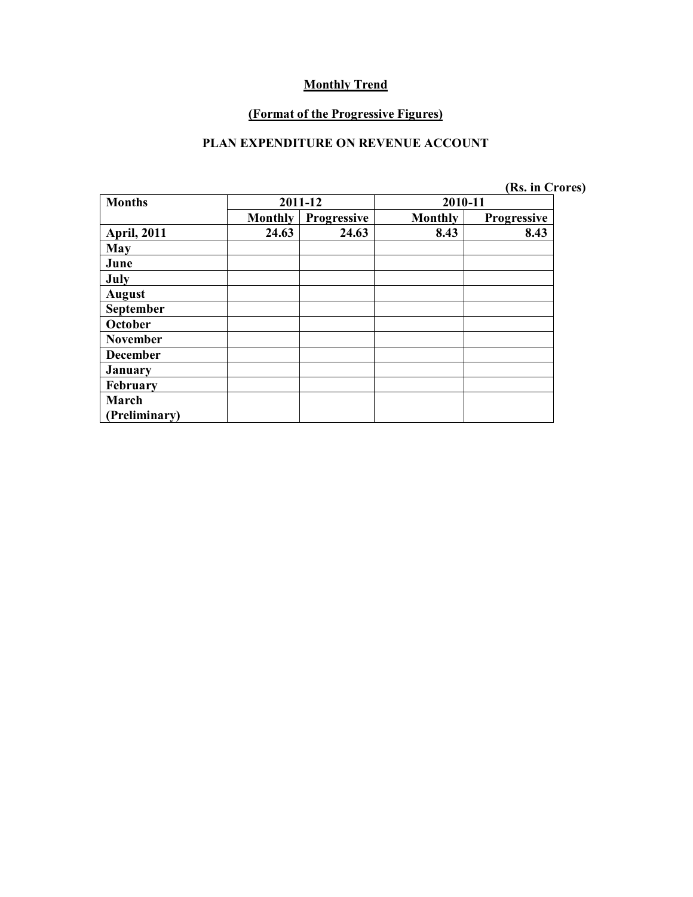#### **(Format of the Progressive Figures)**

### **PLAN EXPENDITURE ON REVENUE ACCOUNT**

| <b>Months</b>      | 2011-12        |             | 2010-11        |                    |
|--------------------|----------------|-------------|----------------|--------------------|
|                    | <b>Monthly</b> | Progressive | <b>Monthly</b> | <b>Progressive</b> |
| <b>April, 2011</b> | 24.63          | 24.63       | 8.43           | 8.43               |
| May                |                |             |                |                    |
| June               |                |             |                |                    |
| July               |                |             |                |                    |
| <b>August</b>      |                |             |                |                    |
| September          |                |             |                |                    |
| October            |                |             |                |                    |
| <b>November</b>    |                |             |                |                    |
| <b>December</b>    |                |             |                |                    |
| <b>January</b>     |                |             |                |                    |
| February           |                |             |                |                    |
| March              |                |             |                |                    |
| Preliminary)       |                |             |                |                    |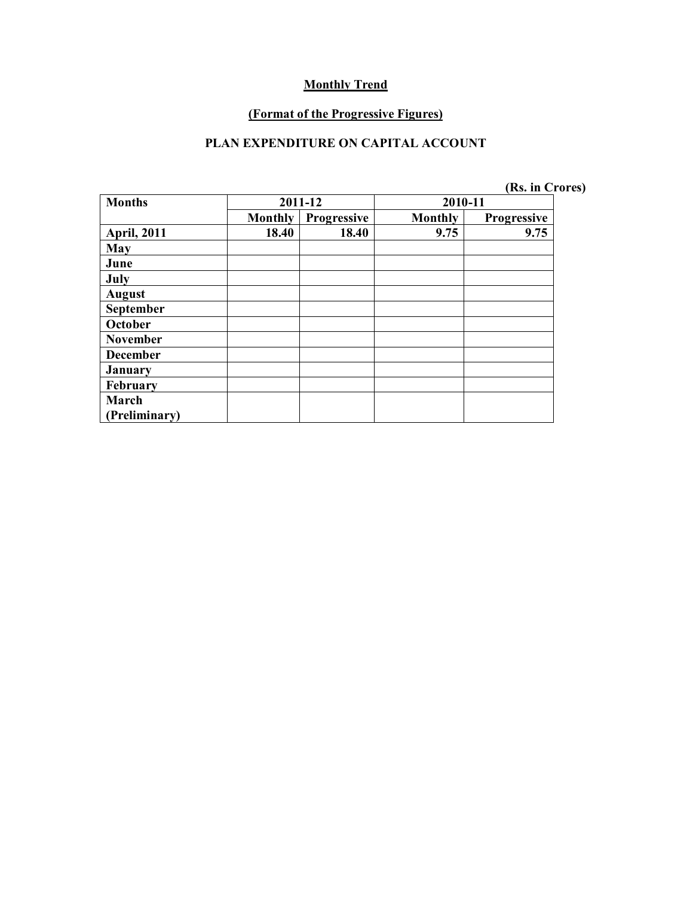#### **(Format of the Progressive Figures)**

### **PLAN EXPENDITURE ON CAPITAL ACCOUNT**

| <b>Months</b>        | 2011-12        |             | 2010-11        |                    |
|----------------------|----------------|-------------|----------------|--------------------|
|                      | <b>Monthly</b> | Progressive | <b>Monthly</b> | <b>Progressive</b> |
| <b>April, 2011</b>   | 18.40          | 18.40       | 9.75           | 9.75               |
| May                  |                |             |                |                    |
| June                 |                |             |                |                    |
| July                 |                |             |                |                    |
| <b>August</b>        |                |             |                |                    |
| September            |                |             |                |                    |
| October              |                |             |                |                    |
| <b>November</b>      |                |             |                |                    |
| <b>December</b>      |                |             |                |                    |
| <b>January</b>       |                |             |                |                    |
| February             |                |             |                |                    |
| March                |                |             |                |                    |
| <b>Preliminary</b> ) |                |             |                |                    |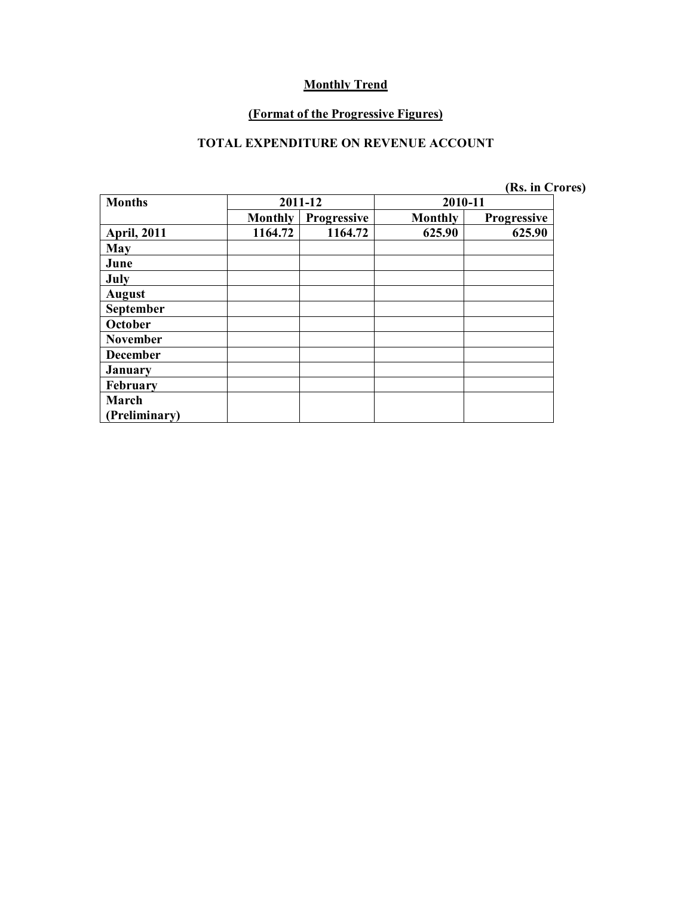#### **(Format of the Progressive Figures)**

### **TOTAL EXPENDITURE ON REVENUE ACCOUNT**

| <b>Months</b>        | 2011-12        |                    | 2010-11        |                    |  |
|----------------------|----------------|--------------------|----------------|--------------------|--|
|                      | <b>Monthly</b> | <b>Progressive</b> | <b>Monthly</b> | <b>Progressive</b> |  |
| <b>April, 2011</b>   | 1164.72        | 1164.72            | 625.90         | 625.90             |  |
| May                  |                |                    |                |                    |  |
| June                 |                |                    |                |                    |  |
| July                 |                |                    |                |                    |  |
| <b>August</b>        |                |                    |                |                    |  |
| <b>September</b>     |                |                    |                |                    |  |
| October              |                |                    |                |                    |  |
| <b>November</b>      |                |                    |                |                    |  |
| <b>December</b>      |                |                    |                |                    |  |
| <b>January</b>       |                |                    |                |                    |  |
| February             |                |                    |                |                    |  |
| March                |                |                    |                |                    |  |
| <b>Preliminary</b> ) |                |                    |                |                    |  |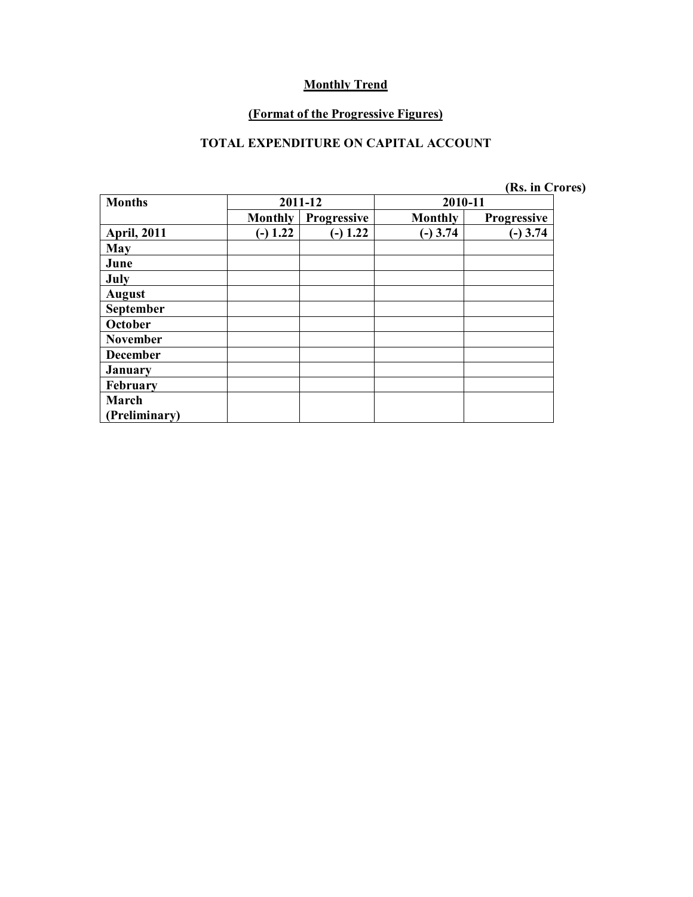#### **(Format of the Progressive Figures)**

### **TOTAL EXPENDITURE ON CAPITAL ACCOUNT**

| <b>Months</b>        | 2011-12        |                    | 2010-11        |                    |  |
|----------------------|----------------|--------------------|----------------|--------------------|--|
|                      | <b>Monthly</b> | <b>Progressive</b> | <b>Monthly</b> | <b>Progressive</b> |  |
| <b>April, 2011</b>   | $(-) 1.22$     | $(-) 1.22$         | $(-)$ 3.74     | $(-)$ 3.74         |  |
| May                  |                |                    |                |                    |  |
| June                 |                |                    |                |                    |  |
| July                 |                |                    |                |                    |  |
| <b>August</b>        |                |                    |                |                    |  |
| September            |                |                    |                |                    |  |
| October              |                |                    |                |                    |  |
| <b>November</b>      |                |                    |                |                    |  |
| <b>December</b>      |                |                    |                |                    |  |
| <b>January</b>       |                |                    |                |                    |  |
| February             |                |                    |                |                    |  |
| March                |                |                    |                |                    |  |
| <b>Preliminary</b> ) |                |                    |                |                    |  |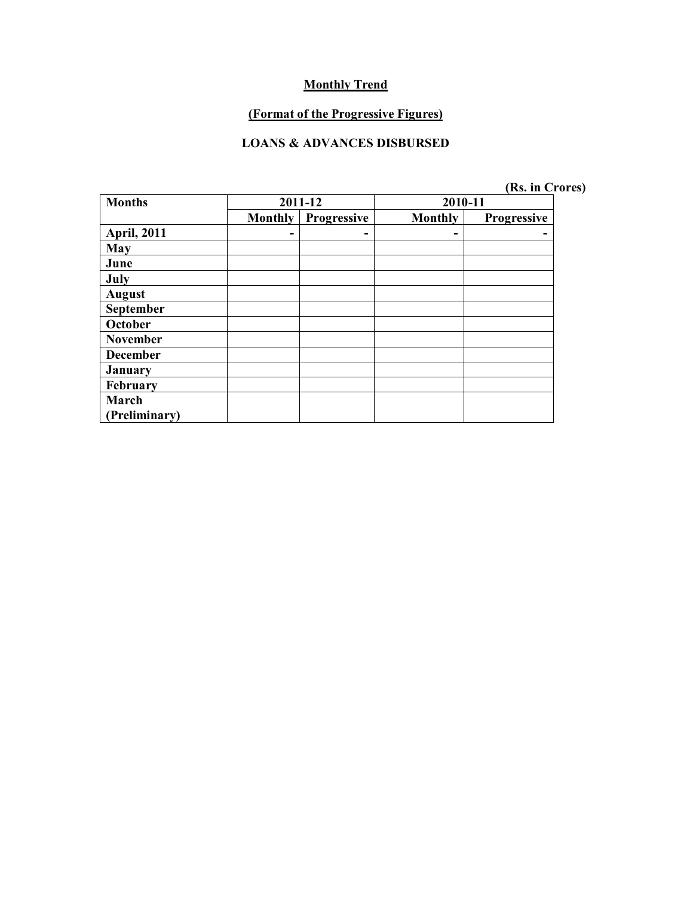# **(Format of the Progressive Figures)**

#### **LOANS & ADVANCES DISBURSED**

| <b>Months</b>        | 2011-12        |             | 2010-11 |                    |  |
|----------------------|----------------|-------------|---------|--------------------|--|
|                      | <b>Monthly</b> | Progressive | Monthly | <b>Progressive</b> |  |
| <b>April, 2011</b>   |                | -           | -       |                    |  |
| May                  |                |             |         |                    |  |
| June                 |                |             |         |                    |  |
| July                 |                |             |         |                    |  |
| <b>August</b>        |                |             |         |                    |  |
| September            |                |             |         |                    |  |
| October              |                |             |         |                    |  |
| <b>November</b>      |                |             |         |                    |  |
| <b>December</b>      |                |             |         |                    |  |
| <b>January</b>       |                |             |         |                    |  |
| February             |                |             |         |                    |  |
| March                |                |             |         |                    |  |
| <b>Preliminary</b> ) |                |             |         |                    |  |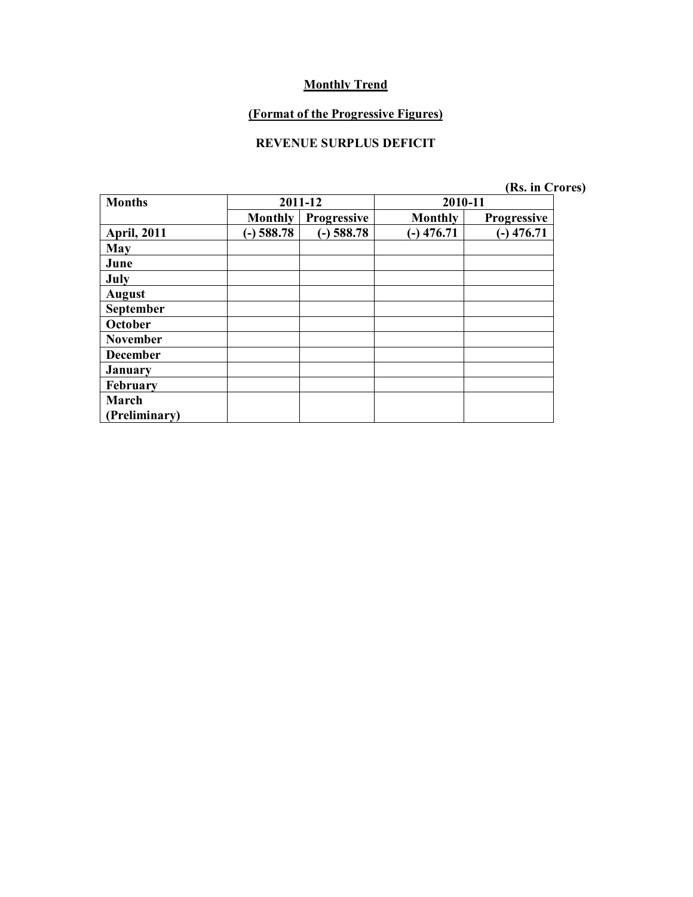### **(Format of the Progressive Figures)**

## **REVENUE SURPLUS DEFICIT**

| <b>Months</b>      | 2011-12        |                    | 2010-11      |                    |  |
|--------------------|----------------|--------------------|--------------|--------------------|--|
|                    | <b>Monthly</b> | <b>Progressive</b> | Monthly      | <b>Progressive</b> |  |
| <b>April, 2011</b> | $(-)$ 588.78   | $(-)$ 588.78       | $(-)$ 476.71 | $-)$ 476.71        |  |
| May                |                |                    |              |                    |  |
| June               |                |                    |              |                    |  |
| July               |                |                    |              |                    |  |
| <b>August</b>      |                |                    |              |                    |  |
| September          |                |                    |              |                    |  |
| October            |                |                    |              |                    |  |
| <b>November</b>    |                |                    |              |                    |  |
| <b>December</b>    |                |                    |              |                    |  |
| <b>January</b>     |                |                    |              |                    |  |
| February           |                |                    |              |                    |  |
| March              |                |                    |              |                    |  |
| (Preliminary)      |                |                    |              |                    |  |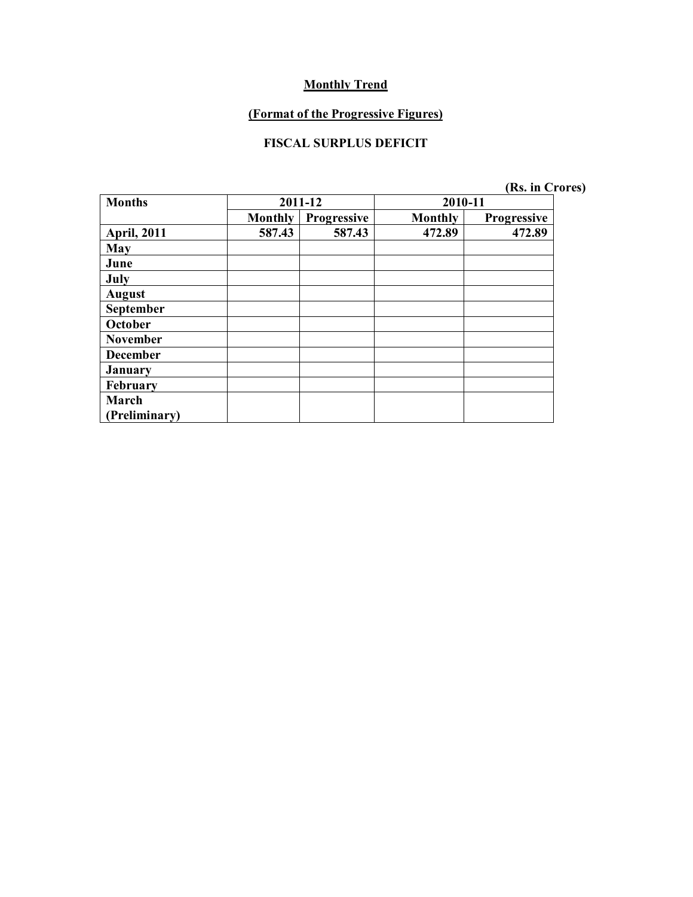### **(Format of the Progressive Figures)**

### **FISCAL SURPLUS DEFICIT**

| <b>Months</b>      | 2011-12        |                    | 2010-11 |                    |  |
|--------------------|----------------|--------------------|---------|--------------------|--|
|                    | <b>Monthly</b> | <b>Progressive</b> | Monthly | <b>Progressive</b> |  |
| <b>April, 2011</b> | 587.43         | 587.43             | 472.89  | 472.89             |  |
| May                |                |                    |         |                    |  |
| June               |                |                    |         |                    |  |
| July               |                |                    |         |                    |  |
| <b>August</b>      |                |                    |         |                    |  |
| September          |                |                    |         |                    |  |
| October            |                |                    |         |                    |  |
| <b>November</b>    |                |                    |         |                    |  |
| <b>December</b>    |                |                    |         |                    |  |
| <b>January</b>     |                |                    |         |                    |  |
| February           |                |                    |         |                    |  |
| March              |                |                    |         |                    |  |
| Preliminary)       |                |                    |         |                    |  |